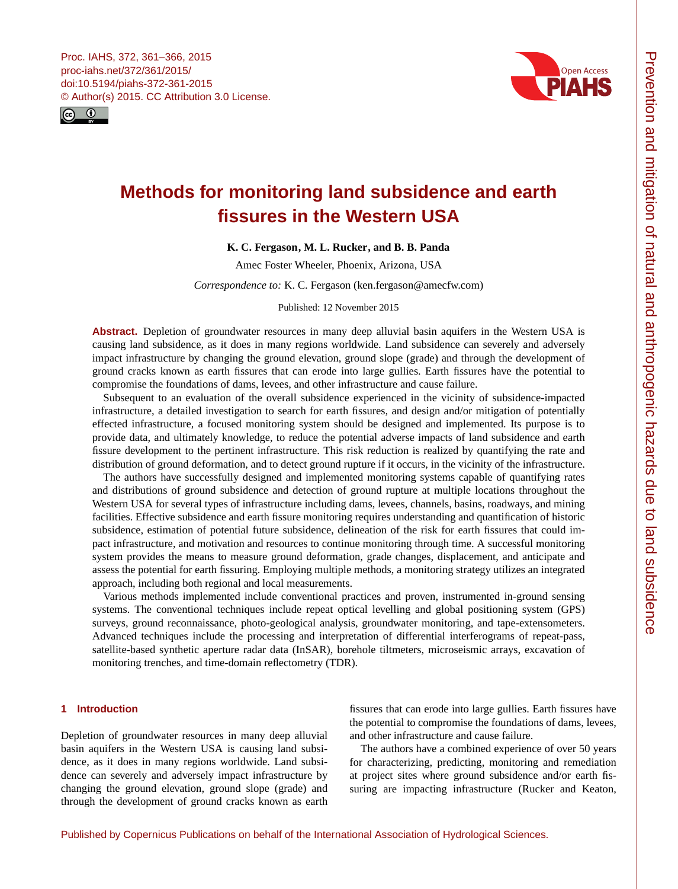<span id="page-0-0"></span>



# **Methods for monitoring land subsidence and earth fissures in the Western USA**

# **K. C. Fergason, M. L. Rucker, and B. B. Panda**

Amec Foster Wheeler, Phoenix, Arizona, USA

*Correspondence to:* K. C. Fergason (ken.fergason@amecfw.com)

Published: 12 November 2015

**Abstract.** Depletion of groundwater resources in many deep alluvial basin aquifers in the Western USA is causing land subsidence, as it does in many regions worldwide. Land subsidence can severely and adversely impact infrastructure by changing the ground elevation, ground slope (grade) and through the development of ground cracks known as earth fissures that can erode into large gullies. Earth fissures have the potential to compromise the foundations of dams, levees, and other infrastructure and cause failure.

Subsequent to an evaluation of the overall subsidence experienced in the vicinity of subsidence-impacted infrastructure, a detailed investigation to search for earth fissures, and design and/or mitigation of potentially effected infrastructure, a focused monitoring system should be designed and implemented. Its purpose is to provide data, and ultimately knowledge, to reduce the potential adverse impacts of land subsidence and earth fissure development to the pertinent infrastructure. This risk reduction is realized by quantifying the rate and distribution of ground deformation, and to detect ground rupture if it occurs, in the vicinity of the infrastructure.

The authors have successfully designed and implemented monitoring systems capable of quantifying rates and distributions of ground subsidence and detection of ground rupture at multiple locations throughout the Western USA for several types of infrastructure including dams, levees, channels, basins, roadways, and mining facilities. Effective subsidence and earth fissure monitoring requires understanding and quantification of historic subsidence, estimation of potential future subsidence, delineation of the risk for earth fissures that could impact infrastructure, and motivation and resources to continue monitoring through time. A successful monitoring system provides the means to measure ground deformation, grade changes, displacement, and anticipate and assess the potential for earth fissuring. Employing multiple methods, a monitoring strategy utilizes an integrated approach, including both regional and local measurements.

Various methods implemented include conventional practices and proven, instrumented in-ground sensing systems. The conventional techniques include repeat optical levelling and global positioning system (GPS) surveys, ground reconnaissance, photo-geological analysis, groundwater monitoring, and tape-extensometers. Advanced techniques include the processing and interpretation of differential interferograms of repeat-pass, satellite-based synthetic aperture radar data (InSAR), borehole tiltmeters, microseismic arrays, excavation of monitoring trenches, and time-domain reflectometry (TDR).

# **1 Introduction**

Depletion of groundwater resources in many deep alluvial basin aquifers in the Western USA is causing land subsidence, as it does in many regions worldwide. Land subsidence can severely and adversely impact infrastructure by changing the ground elevation, ground slope (grade) and through the development of ground cracks known as earth

fissures that can erode into large gullies. Earth fissures have the potential to compromise the foundations of dams, levees, and other infrastructure and cause failure.

The authors have a combined experience of over 50 years for characterizing, predicting, monitoring and remediation at project sites where ground subsidence and/or earth fissuring are impacting infrastructure (Rucker and Keaton,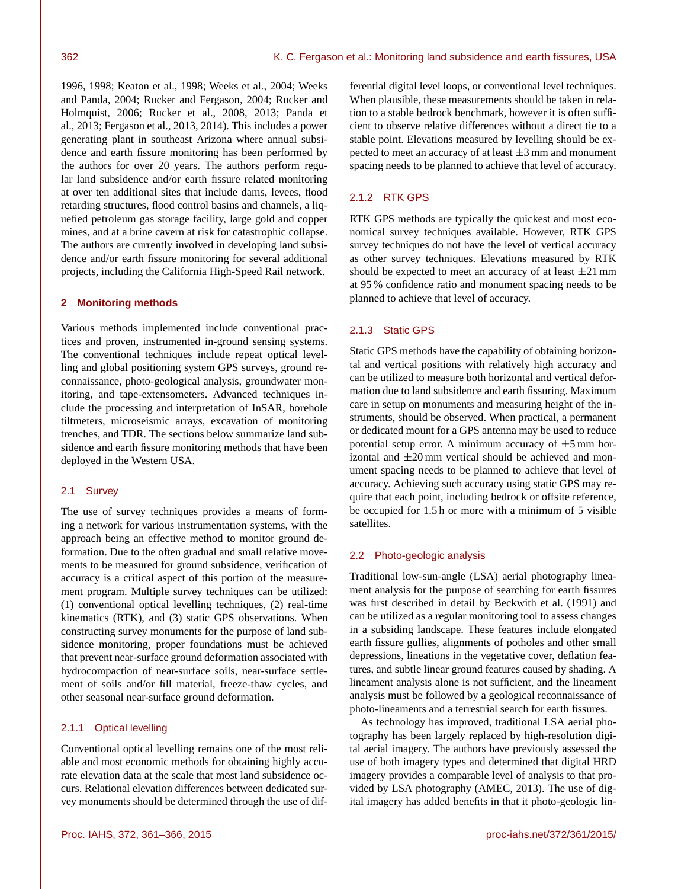1996, 1998; Keaton et al., 1998; Weeks et al., 2004; Weeks and Panda, 2004; Rucker and Fergason, 2004; Rucker and Holmquist, 2006; Rucker et al., 2008, 2013; Panda et al., 2013; Fergason et al., 2013, 2014). This includes a power generating plant in southeast Arizona where annual subsidence and earth fissure monitoring has been performed by the authors for over 20 years. The authors perform regular land subsidence and/or earth fissure related monitoring at over ten additional sites that include dams, levees, flood retarding structures, flood control basins and channels, a liquefied petroleum gas storage facility, large gold and copper mines, and at a brine cavern at risk for catastrophic collapse. The authors are currently involved in developing land subsidence and/or earth fissure monitoring for several additional projects, including the California High-Speed Rail network.

# **2 Monitoring methods**

Various methods implemented include conventional practices and proven, instrumented in-ground sensing systems. The conventional techniques include repeat optical levelling and global positioning system GPS surveys, ground reconnaissance, photo-geological analysis, groundwater monitoring, and tape-extensometers. Advanced techniques include the processing and interpretation of InSAR, borehole tiltmeters, microseismic arrays, excavation of monitoring trenches, and TDR. The sections below summarize land subsidence and earth fissure monitoring methods that have been deployed in the Western USA.

# 2.1 Survey

The use of survey techniques provides a means of forming a network for various instrumentation systems, with the approach being an effective method to monitor ground deformation. Due to the often gradual and small relative movements to be measured for ground subsidence, verification of accuracy is a critical aspect of this portion of the measurement program. Multiple survey techniques can be utilized: (1) conventional optical levelling techniques, (2) real-time kinematics (RTK), and (3) static GPS observations. When constructing survey monuments for the purpose of land subsidence monitoring, proper foundations must be achieved that prevent near-surface ground deformation associated with hydrocompaction of near-surface soils, near-surface settlement of soils and/or fill material, freeze-thaw cycles, and other seasonal near-surface ground deformation.

# 2.1.1 Optical levelling

Conventional optical levelling remains one of the most reliable and most economic methods for obtaining highly accurate elevation data at the scale that most land subsidence occurs. Relational elevation differences between dedicated survey monuments should be determined through the use of differential digital level loops, or conventional level techniques. When plausible, these measurements should be taken in relation to a stable bedrock benchmark, however it is often sufficient to observe relative differences without a direct tie to a stable point. Elevations measured by levelling should be expected to meet an accuracy of at least  $\pm 3$  mm and monument spacing needs to be planned to achieve that level of accuracy.

# 2.1.2 RTK GPS

RTK GPS methods are typically the quickest and most economical survey techniques available. However, RTK GPS survey techniques do not have the level of vertical accuracy as other survey techniques. Elevations measured by RTK should be expected to meet an accuracy of at least  $\pm 21$  mm at 95 % confidence ratio and monument spacing needs to be planned to achieve that level of accuracy.

# 2.1.3 Static GPS

Static GPS methods have the capability of obtaining horizontal and vertical positions with relatively high accuracy and can be utilized to measure both horizontal and vertical deformation due to land subsidence and earth fissuring. Maximum care in setup on monuments and measuring height of the instruments, should be observed. When practical, a permanent or dedicated mount for a GPS antenna may be used to reduce potential setup error. A minimum accuracy of  $\pm 5$  mm horizontal and  $\pm 20$  mm vertical should be achieved and monument spacing needs to be planned to achieve that level of accuracy. Achieving such accuracy using static GPS may require that each point, including bedrock or offsite reference, be occupied for 1.5 h or more with a minimum of 5 visible satellites.

# 2.2 Photo-geologic analysis

Traditional low-sun-angle (LSA) aerial photography lineament analysis for the purpose of searching for earth fissures was first described in detail by Beckwith et al. (1991) and can be utilized as a regular monitoring tool to assess changes in a subsiding landscape. These features include elongated earth fissure gullies, alignments of potholes and other small depressions, lineations in the vegetative cover, deflation features, and subtle linear ground features caused by shading. A lineament analysis alone is not sufficient, and the lineament analysis must be followed by a geological reconnaissance of photo-lineaments and a terrestrial search for earth fissures.

As technology has improved, traditional LSA aerial photography has been largely replaced by high-resolution digital aerial imagery. The authors have previously assessed the use of both imagery types and determined that digital HRD imagery provides a comparable level of analysis to that provided by LSA photography (AMEC, 2013). The use of digital imagery has added benefits in that it photo-geologic lin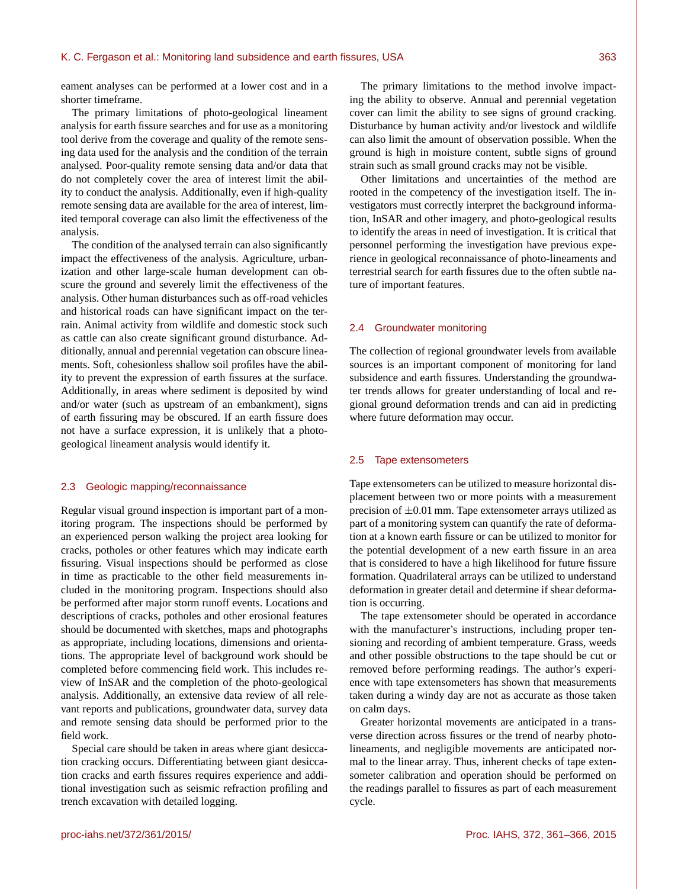eament analyses can be performed at a lower cost and in a shorter timeframe.

The primary limitations of photo-geological lineament analysis for earth fissure searches and for use as a monitoring tool derive from the coverage and quality of the remote sensing data used for the analysis and the condition of the terrain analysed. Poor-quality remote sensing data and/or data that do not completely cover the area of interest limit the ability to conduct the analysis. Additionally, even if high-quality remote sensing data are available for the area of interest, limited temporal coverage can also limit the effectiveness of the analysis.

The condition of the analysed terrain can also significantly impact the effectiveness of the analysis. Agriculture, urbanization and other large-scale human development can obscure the ground and severely limit the effectiveness of the analysis. Other human disturbances such as off-road vehicles and historical roads can have significant impact on the terrain. Animal activity from wildlife and domestic stock such as cattle can also create significant ground disturbance. Additionally, annual and perennial vegetation can obscure lineaments. Soft, cohesionless shallow soil profiles have the ability to prevent the expression of earth fissures at the surface. Additionally, in areas where sediment is deposited by wind and/or water (such as upstream of an embankment), signs of earth fissuring may be obscured. If an earth fissure does not have a surface expression, it is unlikely that a photogeological lineament analysis would identify it.

### 2.3 Geologic mapping/reconnaissance

Regular visual ground inspection is important part of a monitoring program. The inspections should be performed by an experienced person walking the project area looking for cracks, potholes or other features which may indicate earth fissuring. Visual inspections should be performed as close in time as practicable to the other field measurements included in the monitoring program. Inspections should also be performed after major storm runoff events. Locations and descriptions of cracks, potholes and other erosional features should be documented with sketches, maps and photographs as appropriate, including locations, dimensions and orientations. The appropriate level of background work should be completed before commencing field work. This includes review of InSAR and the completion of the photo-geological analysis. Additionally, an extensive data review of all relevant reports and publications, groundwater data, survey data and remote sensing data should be performed prior to the field work.

Special care should be taken in areas where giant desiccation cracking occurs. Differentiating between giant desiccation cracks and earth fissures requires experience and additional investigation such as seismic refraction profiling and trench excavation with detailed logging.

The primary limitations to the method involve impacting the ability to observe. Annual and perennial vegetation cover can limit the ability to see signs of ground cracking. Disturbance by human activity and/or livestock and wildlife can also limit the amount of observation possible. When the ground is high in moisture content, subtle signs of ground strain such as small ground cracks may not be visible.

Other limitations and uncertainties of the method are rooted in the competency of the investigation itself. The investigators must correctly interpret the background information, InSAR and other imagery, and photo-geological results to identify the areas in need of investigation. It is critical that personnel performing the investigation have previous experience in geological reconnaissance of photo-lineaments and terrestrial search for earth fissures due to the often subtle nature of important features.

# 2.4 Groundwater monitoring

The collection of regional groundwater levels from available sources is an important component of monitoring for land subsidence and earth fissures. Understanding the groundwater trends allows for greater understanding of local and regional ground deformation trends and can aid in predicting where future deformation may occur.

### 2.5 Tape extensometers

Tape extensometers can be utilized to measure horizontal displacement between two or more points with a measurement precision of  $\pm 0.01$  mm. Tape extensometer arrays utilized as part of a monitoring system can quantify the rate of deformation at a known earth fissure or can be utilized to monitor for the potential development of a new earth fissure in an area that is considered to have a high likelihood for future fissure formation. Quadrilateral arrays can be utilized to understand deformation in greater detail and determine if shear deformation is occurring.

The tape extensometer should be operated in accordance with the manufacturer's instructions, including proper tensioning and recording of ambient temperature. Grass, weeds and other possible obstructions to the tape should be cut or removed before performing readings. The author's experience with tape extensometers has shown that measurements taken during a windy day are not as accurate as those taken on calm days.

Greater horizontal movements are anticipated in a transverse direction across fissures or the trend of nearby photolineaments, and negligible movements are anticipated normal to the linear array. Thus, inherent checks of tape extensometer calibration and operation should be performed on the readings parallel to fissures as part of each measurement cycle.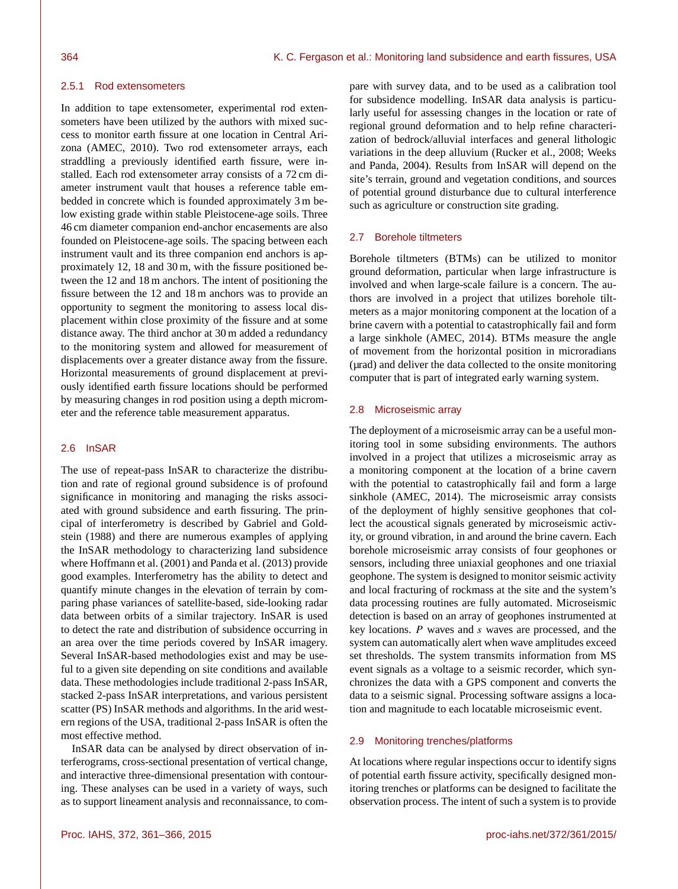### 2.5.1 Rod extensometers

In addition to tape extensometer, experimental rod extensometers have been utilized by the authors with mixed success to monitor earth fissure at one location in Central Arizona (AMEC, 2010). Two rod extensometer arrays, each straddling a previously identified earth fissure, were installed. Each rod extensometer array consists of a 72 cm diameter instrument vault that houses a reference table embedded in concrete which is founded approximately 3 m below existing grade within stable Pleistocene-age soils. Three 46 cm diameter companion end-anchor encasements are also founded on Pleistocene-age soils. The spacing between each instrument vault and its three companion end anchors is approximately 12, 18 and 30 m, with the fissure positioned between the 12 and 18 m anchors. The intent of positioning the fissure between the 12 and 18 m anchors was to provide an opportunity to segment the monitoring to assess local displacement within close proximity of the fissure and at some distance away. The third anchor at 30 m added a redundancy to the monitoring system and allowed for measurement of displacements over a greater distance away from the fissure. Horizontal measurements of ground displacement at previously identified earth fissure locations should be performed by measuring changes in rod position using a depth micrometer and the reference table measurement apparatus.

# 2.6 InSAR

The use of repeat-pass InSAR to characterize the distribution and rate of regional ground subsidence is of profound significance in monitoring and managing the risks associated with ground subsidence and earth fissuring. The principal of interferometry is described by Gabriel and Goldstein (1988) and there are numerous examples of applying the InSAR methodology to characterizing land subsidence where Hoffmann et al. (2001) and Panda et al. (2013) provide good examples. Interferometry has the ability to detect and quantify minute changes in the elevation of terrain by comparing phase variances of satellite-based, side-looking radar data between orbits of a similar trajectory. InSAR is used to detect the rate and distribution of subsidence occurring in an area over the time periods covered by InSAR imagery. Several InSAR-based methodologies exist and may be useful to a given site depending on site conditions and available data. These methodologies include traditional 2-pass InSAR, stacked 2-pass InSAR interpretations, and various persistent scatter (PS) InSAR methods and algorithms. In the arid western regions of the USA, traditional 2-pass InSAR is often the most effective method.

InSAR data can be analysed by direct observation of interferograms, cross-sectional presentation of vertical change, and interactive three-dimensional presentation with contouring. These analyses can be used in a variety of ways, such as to support lineament analysis and reconnaissance, to compare with survey data, and to be used as a calibration tool for subsidence modelling. InSAR data analysis is particularly useful for assessing changes in the location or rate of regional ground deformation and to help refine characterization of bedrock/alluvial interfaces and general lithologic variations in the deep alluvium (Rucker et al., 2008; Weeks and Panda, 2004). Results from InSAR will depend on the site's terrain, ground and vegetation conditions, and sources of potential ground disturbance due to cultural interference such as agriculture or construction site grading.

# 2.7 Borehole tiltmeters

Borehole tiltmeters (BTMs) can be utilized to monitor ground deformation, particular when large infrastructure is involved and when large-scale failure is a concern. The authors are involved in a project that utilizes borehole tiltmeters as a major monitoring component at the location of a brine cavern with a potential to catastrophically fail and form a large sinkhole (AMEC, 2014). BTMs measure the angle of movement from the horizontal position in microradians (µrad) and deliver the data collected to the onsite monitoring computer that is part of integrated early warning system.

### 2.8 Microseismic array

The deployment of a microseismic array can be a useful monitoring tool in some subsiding environments. The authors involved in a project that utilizes a microseismic array as a monitoring component at the location of a brine cavern with the potential to catastrophically fail and form a large sinkhole (AMEC, 2014). The microseismic array consists of the deployment of highly sensitive geophones that collect the acoustical signals generated by microseismic activity, or ground vibration, in and around the brine cavern. Each borehole microseismic array consists of four geophones or sensors, including three uniaxial geophones and one triaxial geophone. The system is designed to monitor seismic activity and local fracturing of rockmass at the site and the system's data processing routines are fully automated. Microseismic detection is based on an array of geophones instrumented at key locations. P waves and s waves are processed, and the system can automatically alert when wave amplitudes exceed set thresholds. The system transmits information from MS event signals as a voltage to a seismic recorder, which synchronizes the data with a GPS component and converts the data to a seismic signal. Processing software assigns a location and magnitude to each locatable microseismic event.

## 2.9 Monitoring trenches/platforms

At locations where regular inspections occur to identify signs of potential earth fissure activity, specifically designed monitoring trenches or platforms can be designed to facilitate the observation process. The intent of such a system is to provide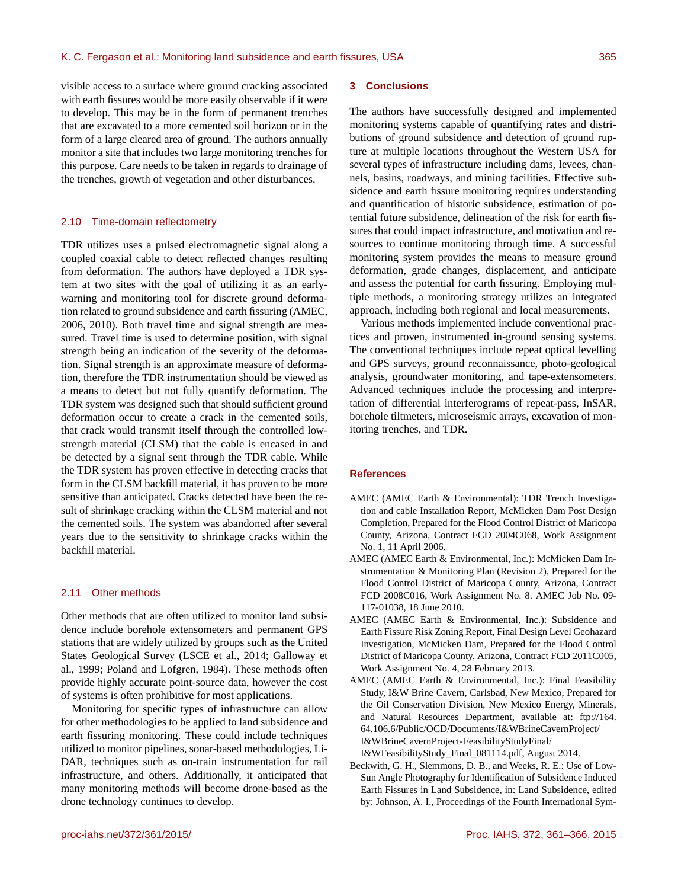visible access to a surface where ground cracking associated with earth fissures would be more easily observable if it were to develop. This may be in the form of permanent trenches that are excavated to a more cemented soil horizon or in the form of a large cleared area of ground. The authors annually monitor a site that includes two large monitoring trenches for this purpose. Care needs to be taken in regards to drainage of the trenches, growth of vegetation and other disturbances.

### 2.10 Time-domain reflectometry

TDR utilizes uses a pulsed electromagnetic signal along a coupled coaxial cable to detect reflected changes resulting from deformation. The authors have deployed a TDR system at two sites with the goal of utilizing it as an earlywarning and monitoring tool for discrete ground deformation related to ground subsidence and earth fissuring (AMEC, 2006, 2010). Both travel time and signal strength are measured. Travel time is used to determine position, with signal strength being an indication of the severity of the deformation. Signal strength is an approximate measure of deformation, therefore the TDR instrumentation should be viewed as a means to detect but not fully quantify deformation. The TDR system was designed such that should sufficient ground deformation occur to create a crack in the cemented soils, that crack would transmit itself through the controlled lowstrength material (CLSM) that the cable is encased in and be detected by a signal sent through the TDR cable. While the TDR system has proven effective in detecting cracks that form in the CLSM backfill material, it has proven to be more sensitive than anticipated. Cracks detected have been the result of shrinkage cracking within the CLSM material and not the cemented soils. The system was abandoned after several years due to the sensitivity to shrinkage cracks within the backfill material.

# 2.11 Other methods

Other methods that are often utilized to monitor land subsidence include borehole extensometers and permanent GPS stations that are widely utilized by groups such as the United States Geological Survey (LSCE et al., 2014; Galloway et al., 1999; Poland and Lofgren, 1984). These methods often provide highly accurate point-source data, however the cost of systems is often prohibitive for most applications.

Monitoring for specific types of infrastructure can allow for other methodologies to be applied to land subsidence and earth fissuring monitoring. These could include techniques utilized to monitor pipelines, sonar-based methodologies, Li-DAR, techniques such as on-train instrumentation for rail infrastructure, and others. Additionally, it anticipated that many monitoring methods will become drone-based as the drone technology continues to develop.

### **3 Conclusions**

The authors have successfully designed and implemented monitoring systems capable of quantifying rates and distributions of ground subsidence and detection of ground rupture at multiple locations throughout the Western USA for several types of infrastructure including dams, levees, channels, basins, roadways, and mining facilities. Effective subsidence and earth fissure monitoring requires understanding and quantification of historic subsidence, estimation of potential future subsidence, delineation of the risk for earth fissures that could impact infrastructure, and motivation and resources to continue monitoring through time. A successful monitoring system provides the means to measure ground deformation, grade changes, displacement, and anticipate and assess the potential for earth fissuring. Employing multiple methods, a monitoring strategy utilizes an integrated approach, including both regional and local measurements.

Various methods implemented include conventional practices and proven, instrumented in-ground sensing systems. The conventional techniques include repeat optical levelling and GPS surveys, ground reconnaissance, photo-geological analysis, groundwater monitoring, and tape-extensometers. Advanced techniques include the processing and interpretation of differential interferograms of repeat-pass, InSAR, borehole tiltmeters, microseismic arrays, excavation of monitoring trenches, and TDR.

### **References**

- AMEC (AMEC Earth & Environmental): TDR Trench Investigation and cable Installation Report, McMicken Dam Post Design Completion, Prepared for the Flood Control District of Maricopa County, Arizona, Contract FCD 2004C068, Work Assignment No. 1, 11 April 2006.
- AMEC (AMEC Earth & Environmental, Inc.): McMicken Dam Instrumentation & Monitoring Plan (Revision 2), Prepared for the Flood Control District of Maricopa County, Arizona, Contract FCD 2008C016, Work Assignment No. 8. AMEC Job No. 09- 117-01038, 18 June 2010.
- AMEC (AMEC Earth & Environmental, Inc.): Subsidence and Earth Fissure Risk Zoning Report, Final Design Level Geohazard Investigation, McMicken Dam, Prepared for the Flood Control District of Maricopa County, Arizona, Contract FCD 2011C005, Work Assignment No. 4, 28 February 2013.
- AMEC (AMEC Earth & Environmental, Inc.): Final Feasibility Study, I&W Brine Cavern, Carlsbad, New Mexico, Prepared for the Oil Conservation Division, New Mexico Energy, Minerals, and Natural Resources Department, available at: [ftp://164.](ftp://164.64.106.6/Public/OCD/Documents/I&W Brine Cavern Project/I&W Brine Cavern Project - Feasibility Study Final/I&W Feasibility Study_Final_081114.pdf) [64.106.6/Public/OCD/Documents/I&WBrineCavernProject/](ftp://164.64.106.6/Public/OCD/Documents/I&W Brine Cavern Project/I&W Brine Cavern Project - Feasibility Study Final/I&W Feasibility Study_Final_081114.pdf) [I&WBrineCavernProject-FeasibilityStudyFinal/](ftp://164.64.106.6/Public/OCD/Documents/I&W Brine Cavern Project/I&W Brine Cavern Project - Feasibility Study Final/I&W Feasibility Study_Final_081114.pdf) [I&WFeasibilityStudy\\_Final\\_081114.pdf,](ftp://164.64.106.6/Public/OCD/Documents/I&W Brine Cavern Project/I&W Brine Cavern Project - Feasibility Study Final/I&W Feasibility Study_Final_081114.pdf) August 2014.
- Beckwith, G. H., Slemmons, D. B., and Weeks, R. E.: Use of Low-Sun Angle Photography for Identification of Subsidence Induced Earth Fissures in Land Subsidence, in: Land Subsidence, edited by: Johnson, A. I., Proceedings of the Fourth International Sym-